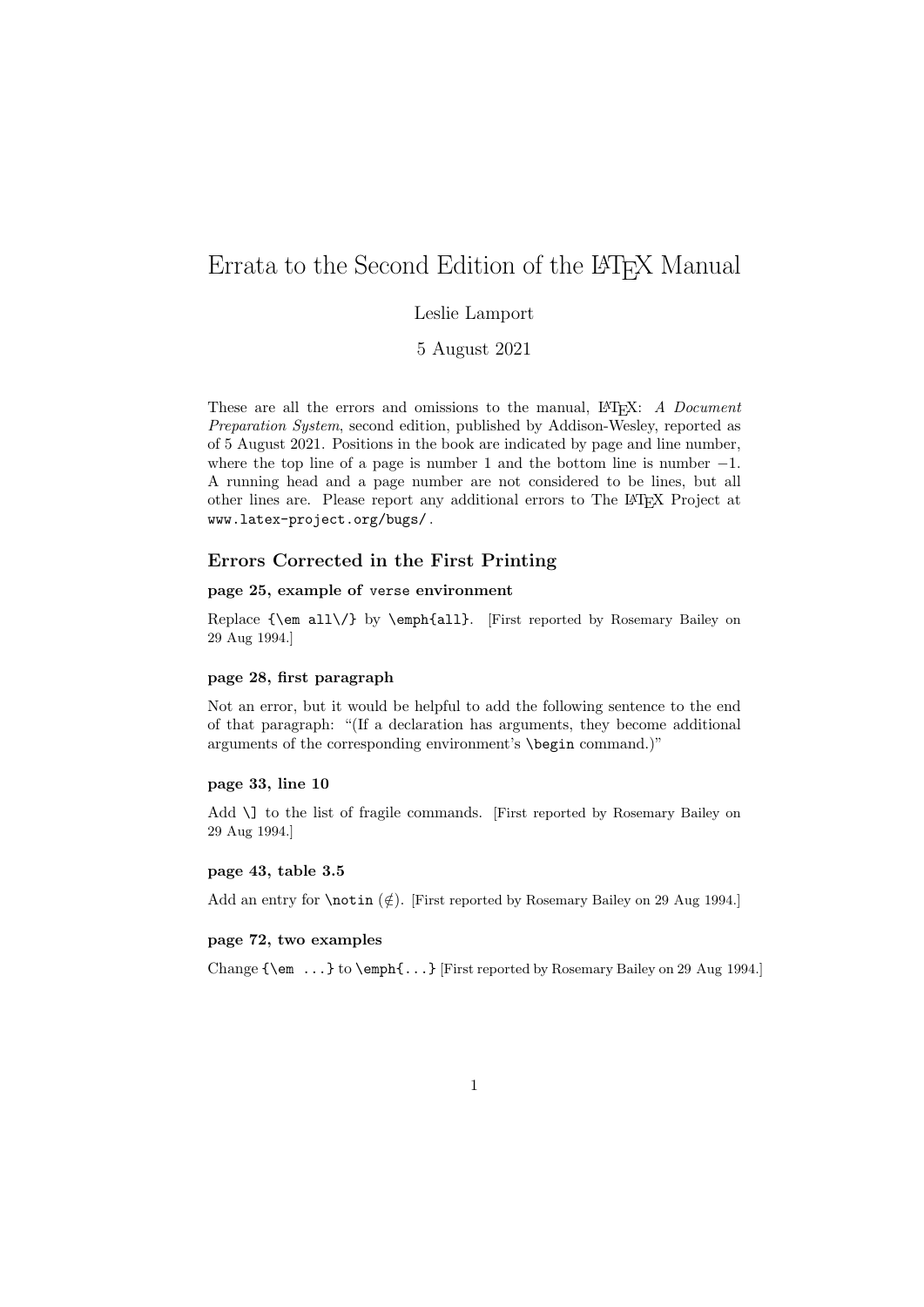# Errata to the Second Edition of the LAT<sub>EX</sub> Manual

# Leslie Lamport

5 August 2021

These are all the errors and omissions to the manual, LATEX: A Document Preparation System, second edition, published by Addison-Wesley, reported as of 5 August 2021. Positions in the book are indicated by page and line number, where the top line of a page is number 1 and the bottom line is number  $-1$ . A running head and a page number are not considered to be lines, but all other lines are. Please report any additional errors to The LATEX Project at www.latex-project.org/bugs/ .

### Errors Corrected in the First Printing

### page 25, example of verse environment

Replace {\em all\/} by \emph{all}. [First reported by Rosemary Bailey on 29 Aug 1994.]

### page 28, first paragraph

Not an error, but it would be helpful to add the following sentence to the end of that paragraph: "(If a declaration has arguments, they become additional arguments of the corresponding environment's \begin command.)"

### page 33, line 10

Add \] to the list of fragile commands. [First reported by Rosemary Bailey on 29 Aug 1994.]

#### page 43, table 3.5

Add an entry for  $\not\in$ . [First reported by Rosemary Bailey on 29 Aug 1994.]

### page 72, two examples

Change {\em ...} to \emph{...} [First reported by Rosemary Bailey on 29 Aug 1994.]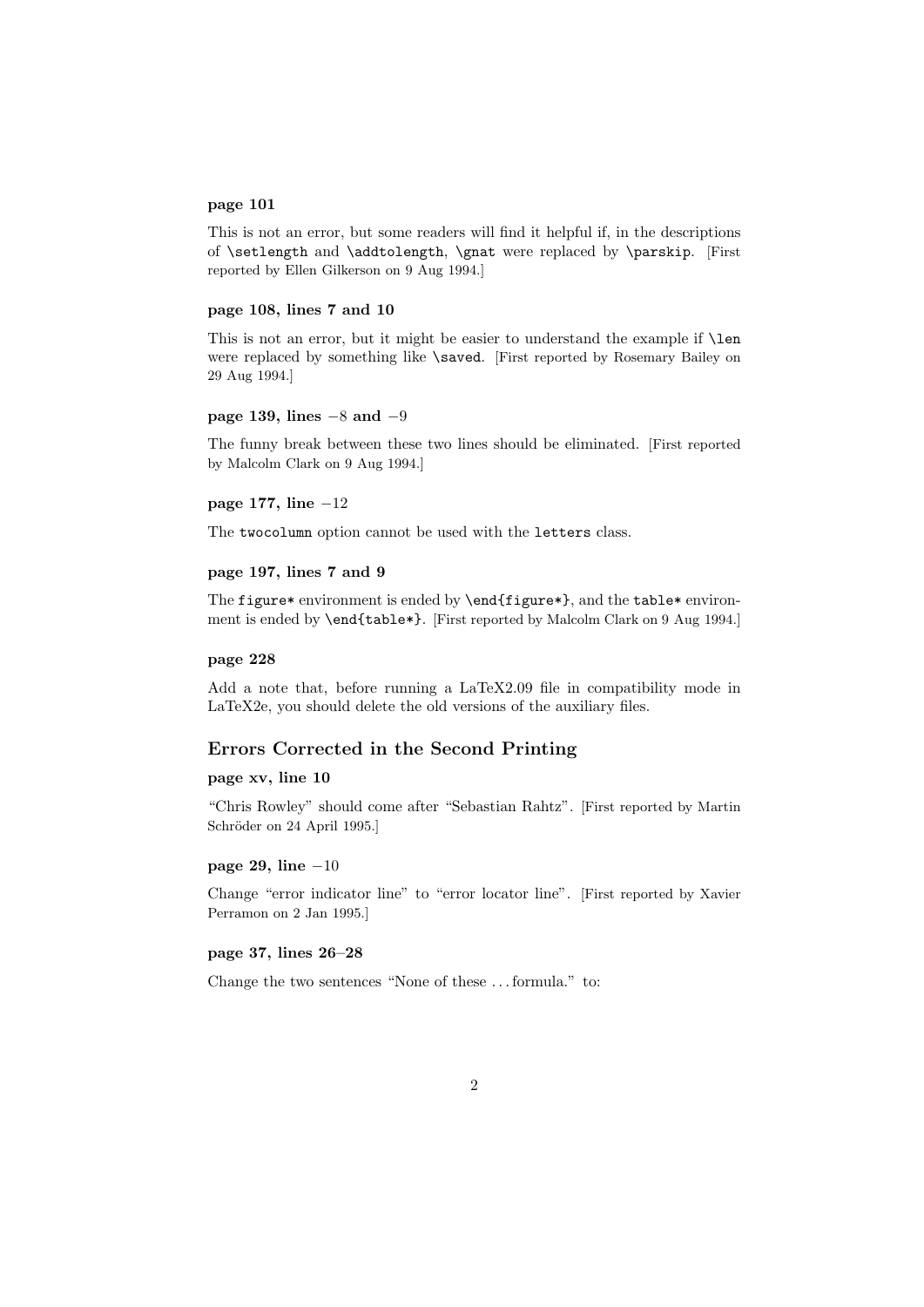### page 101

This is not an error, but some readers will find it helpful if, in the descriptions of \setlength and \addtolength, \gnat were replaced by \parskip. [First reported by Ellen Gilkerson on 9 Aug 1994.]

### page 108, lines 7 and 10

This is not an error, but it might be easier to understand the example if \len were replaced by something like \saved. [First reported by Rosemary Bailey on 29 Aug 1994.]

#### page 139, lines  $-8$  and  $-9$

The funny break between these two lines should be eliminated. [First reported by Malcolm Clark on 9 Aug 1994.]

### page 177, line −12

The twocolumn option cannot be used with the letters class.

## page 197, lines 7 and 9

The figure\* environment is ended by \end{figure\*}, and the table\* environment is ended by \end{table\*}. [First reported by Malcolm Clark on 9 Aug 1994.]

#### page 228

Add a note that, before running a LaTeX2.09 file in compatibility mode in LaTeX2e, you should delete the old versions of the auxiliary files.

### Errors Corrected in the Second Printing

### page xv, line 10

"Chris Rowley" should come after "Sebastian Rahtz". [First reported by Martin Schröder on 24 April 1995.]

#### page 29, line −10

Change "error indicator line" to "error locator line". [First reported by Xavier Perramon on 2 Jan 1995.]

#### page 37, lines 26–28

Change the two sentences "None of these . . . formula." to: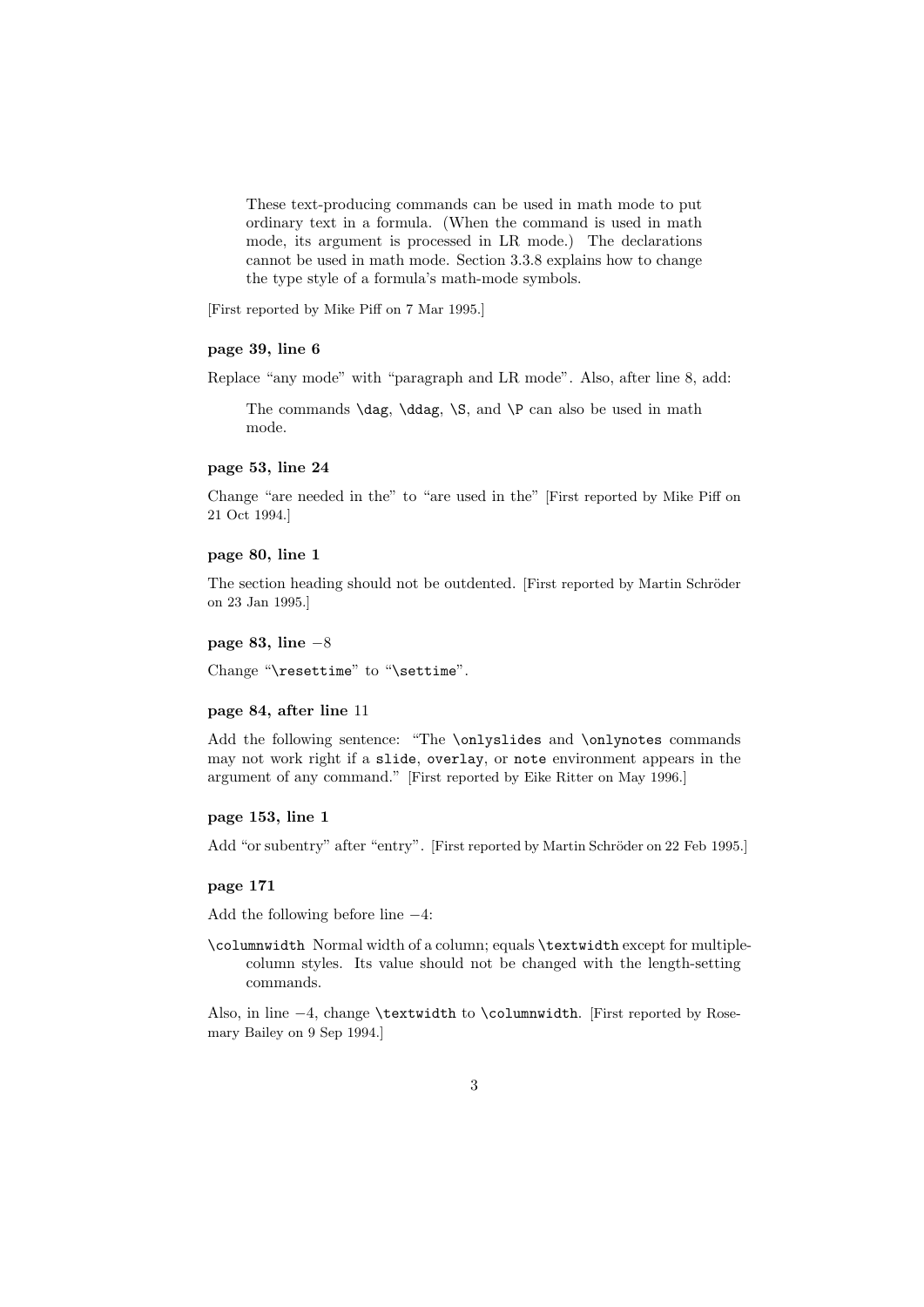These text-producing commands can be used in math mode to put ordinary text in a formula. (When the command is used in math mode, its argument is processed in LR mode.) The declarations cannot be used in math mode. Section 3.3.8 explains how to change the type style of a formula's math-mode symbols.

[First reported by Mike Piff on 7 Mar 1995.]

# page 39, line 6

Replace "any mode" with "paragraph and LR mode". Also, after line 8, add:

The commands  $\dag$ ,  $\Diamond$ ,  $\Diamond$ ,  $\Diamond$ ,  $\Diamond$ ,  $\Diamond$ ,  $\Diamond$  can also be used in math mode.

### page 53, line 24

Change "are needed in the" to "are used in the" [First reported by Mike Piff on 21 Oct 1994.]

#### page 80, line 1

The section heading should not be outdented. [First reported by Martin Schröder on 23 Jan 1995.]

### page 83, line −8

Change "\resettime" to "\settime".

#### page 84, after line 11

Add the following sentence: "The \onlyslides and \onlynotes commands may not work right if a slide, overlay, or note environment appears in the argument of any command." [First reported by Eike Ritter on May 1996.]

### page 153, line 1

Add "or subentry" after "entry". [First reported by Martin Schröder on 22 Feb 1995.]

#### page 171

Add the following before line −4:

\columnwidth Normal width of a column; equals \textwidth except for multiplecolumn styles. Its value should not be changed with the length-setting commands.

Also, in line −4, change \textwidth to \columnwidth. [First reported by Rosemary Bailey on 9 Sep 1994.]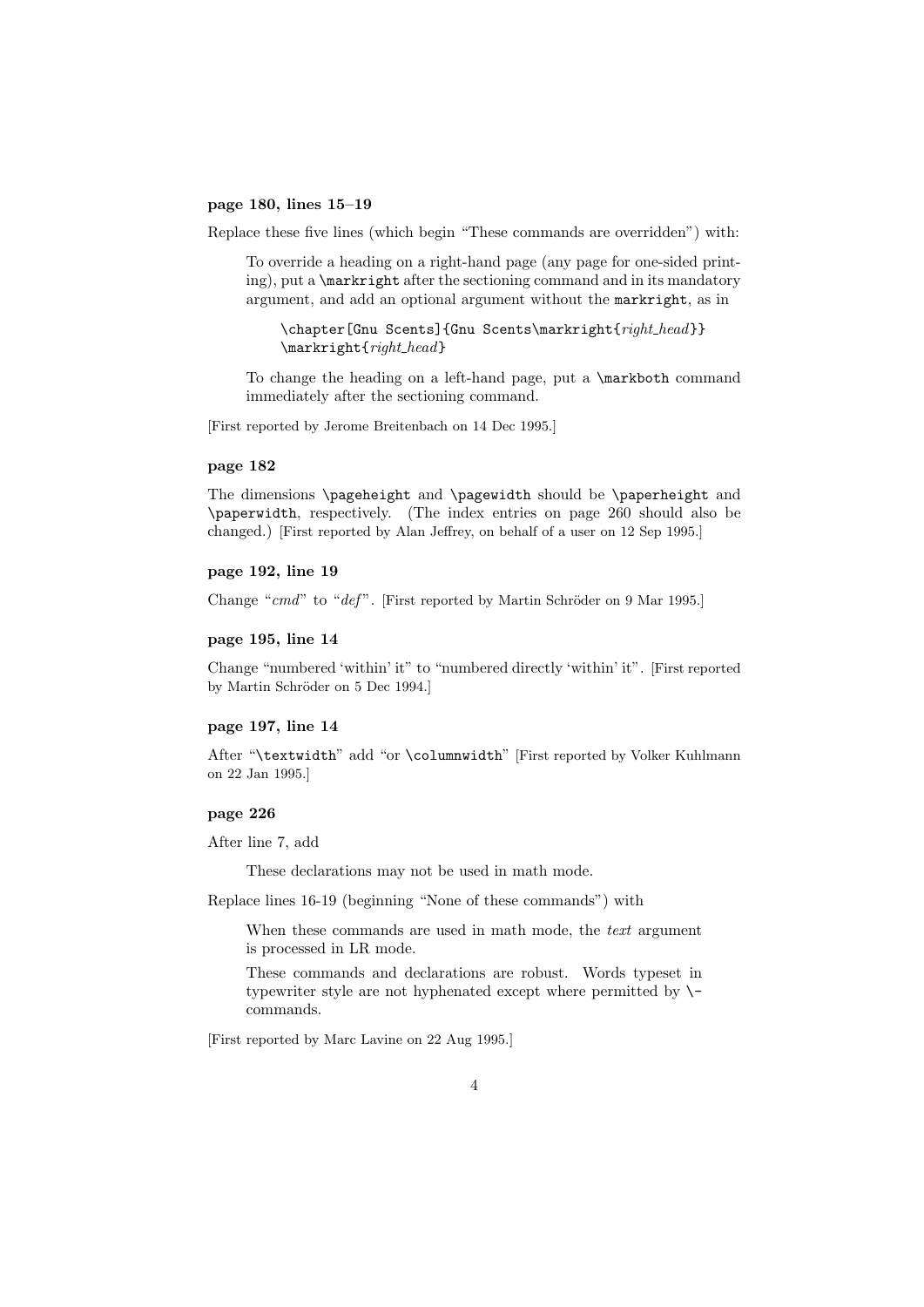#### page 180, lines 15–19

Replace these five lines (which begin "These commands are overridden") with:

To override a heading on a right-hand page (any page for one-sided printing), put a \markright after the sectioning command and in its mandatory argument, and add an optional argument without the markright, as in

\chapter[Gnu Scents]{Gnu Scents\markright{right\_head}} \markright{right\_head}

To change the heading on a left-hand page, put a \markboth command immediately after the sectioning command.

[First reported by Jerome Breitenbach on 14 Dec 1995.]

#### page 182

The dimensions \pageheight and \pagewidth should be \paperheight and \paperwidth, respectively. (The index entries on page 260 should also be changed.) [First reported by Alan Jeffrey, on behalf of a user on 12 Sep 1995.]

# page 192, line 19

Change " $cmd$ " to " $def$ ". [First reported by Martin Schröder on 9 Mar 1995.]

#### page 195, line 14

Change "numbered 'within' it" to "numbered directly 'within' it". [First reported by Martin Schröder on 5 Dec 1994.]

#### page 197, line 14

After "\textwidth" add "or \columnwidth" [First reported by Volker Kuhlmann on 22 Jan 1995.]

### page 226

After line 7, add

These declarations may not be used in math mode.

Replace lines 16-19 (beginning "None of these commands") with

When these commands are used in math mode, the text argument is processed in LR mode.

These commands and declarations are robust. Words typeset in typewriter style are not hyphenated except where permitted by  $\setminus$ commands.

[First reported by Marc Lavine on 22 Aug 1995.]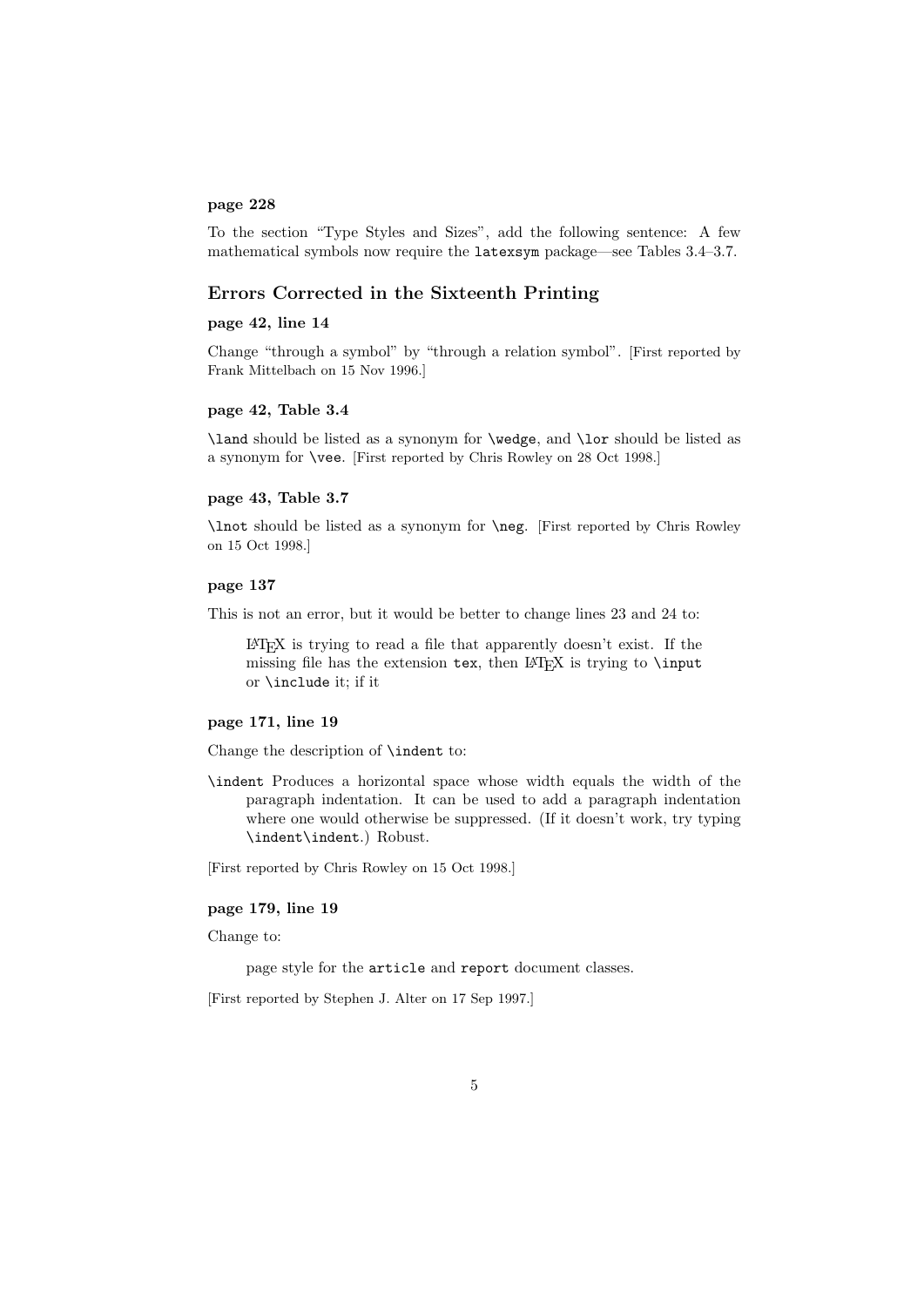### page 228

To the section "Type Styles and Sizes", add the following sentence: A few mathematical symbols now require the latexsym package—see Tables 3.4–3.7.

### Errors Corrected in the Sixteenth Printing

### page 42, line 14

Change "through a symbol" by "through a relation symbol". [First reported by Frank Mittelbach on 15 Nov 1996.]

#### page 42, Table 3.4

\land should be listed as a synonym for \wedge, and \lor should be listed as a synonym for \vee. [First reported by Chris Rowley on 28 Oct 1998.]

### page 43, Table 3.7

\lnot should be listed as a synonym for \neg. [First reported by Chris Rowley on 15 Oct 1998.]

### page 137

This is not an error, but it would be better to change lines 23 and 24 to:

LATEX is trying to read a file that apparently doesn't exist. If the missing file has the extension tex, then LAT<sub>E</sub>X is trying to **\input** or \include it; if it

#### page 171, line 19

Change the description of \indent to:

\indent Produces a horizontal space whose width equals the width of the paragraph indentation. It can be used to add a paragraph indentation where one would otherwise be suppressed. (If it doesn't work, try typing \indent\indent.) Robust.

[First reported by Chris Rowley on 15 Oct 1998.]

#### page 179, line 19

Change to:

page style for the article and report document classes.

[First reported by Stephen J. Alter on 17 Sep 1997.]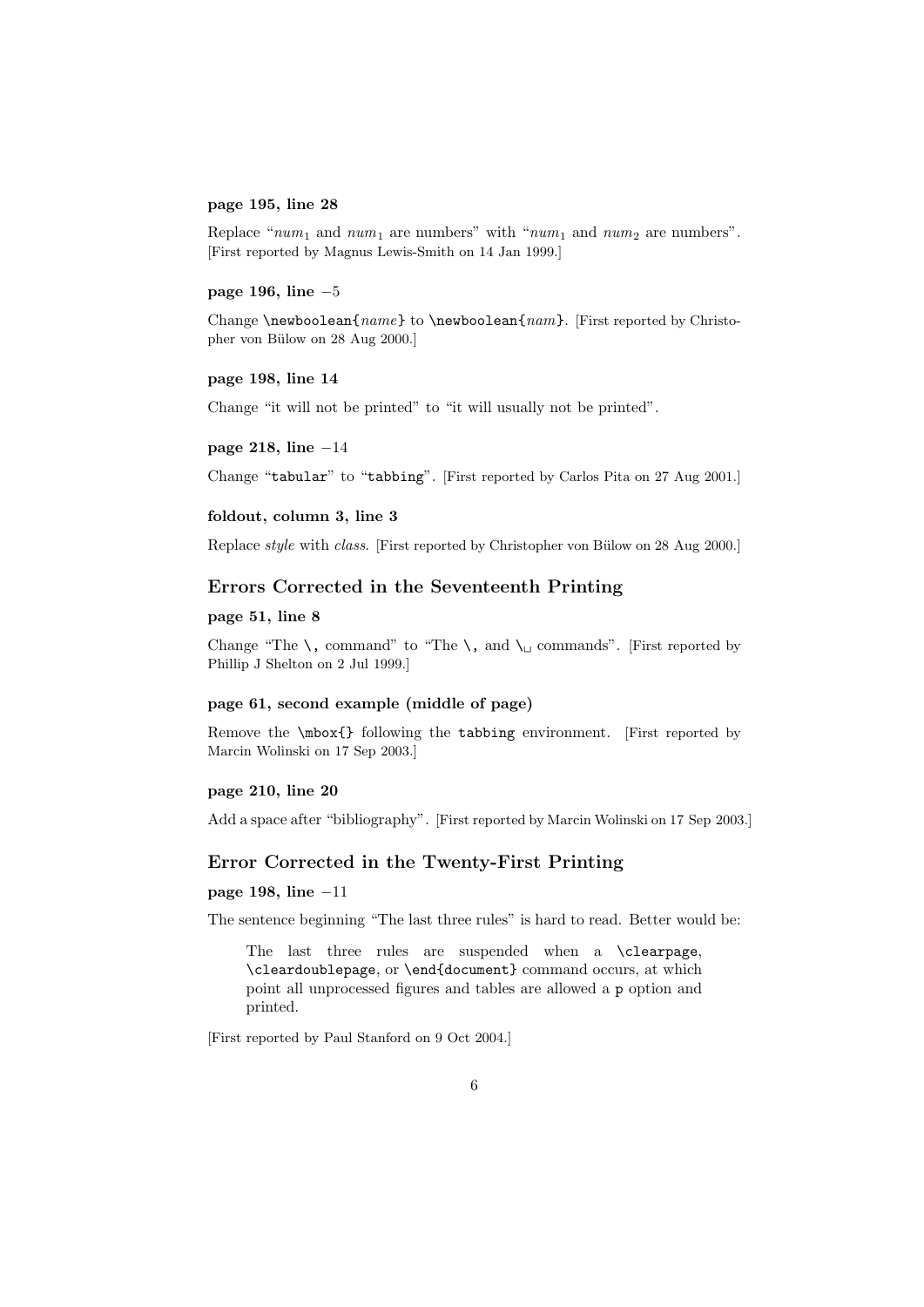#### page 195, line 28

Replace " $num_1$  and  $num_1$  are numbers" with " $num_1$  and  $num_2$  are numbers". [First reported by Magnus Lewis-Smith on 14 Jan 1999.]

### page 196, line −5

Change \newboolean{ $name$ } to \newboolean{ $nam$ }. [First reported by Christopher von Bülow on 28 Aug 2000.]

### page 198, line 14

Change "it will not be printed" to "it will usually not be printed".

#### page 218, line −14

Change "tabular" to "tabbing". [First reported by Carlos Pita on 27 Aug 2001.]

### foldout, column 3, line 3

Replace *style* with *class*. [First reported by Christopher von Bülow on 28 Aug 2000.]

### Errors Corrected in the Seventeenth Printing

#### page 51, line 8

Change "The  $\setminus$ , command" to "The  $\setminus$ , and  $\setminus \sqcup$  commands". [First reported by Phillip J Shelton on 2 Jul 1999.]

### page 61, second example (middle of page)

Remove the \mbox{} following the tabbing environment. [First reported by Marcin Wolinski on 17 Sep 2003.]

#### page 210, line 20

Add a space after "bibliography". [First reported by Marcin Wolinski on 17 Sep 2003.]

### Error Corrected in the Twenty-First Printing

page 198, line −11

The sentence beginning "The last three rules" is hard to read. Better would be:

The last three rules are suspended when a \clearpage, \cleardoublepage, or \end{document} command occurs, at which point all unprocessed figures and tables are allowed a p option and printed.

[First reported by Paul Stanford on 9 Oct 2004.]